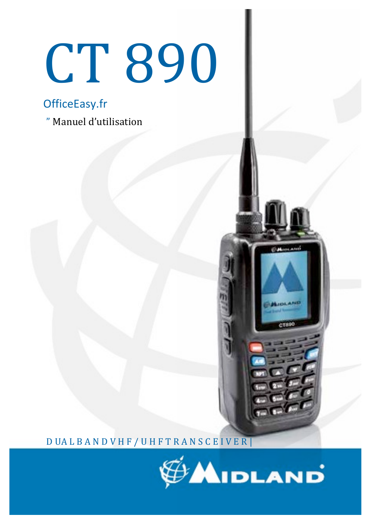# CT 890

## OfficeEasy.fr

" Manuel d'utilisation

D UALBANDVHF/UHFTRANSCEIVER



crask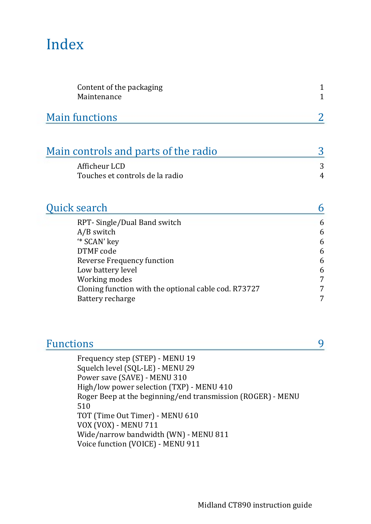## Index

| Content of the packaging             |   |
|--------------------------------------|---|
| Maintenance                          |   |
| <b>Main functions</b>                |   |
| Main controls and parts of the radio | 3 |
| Afficheur LCD                        | 3 |
| Touches et controls de la radio      | 4 |
| Quick search                         |   |

| RPT-Single/Dual Band switch                          | 6 |
|------------------------------------------------------|---|
| $A/B$ switch                                         | 6 |
| "* SCAN' key                                         | 6 |
| DTMF code                                            | 6 |
| <b>Reverse Frequency function</b>                    | 6 |
| Low battery level                                    | 6 |
| Working modes                                        | 7 |
| Cloning function with the optional cable cod. R73727 | 7 |
| Battery recharge                                     | 7 |
|                                                      |   |

## Functions 9

Power save (SAVE) - MENU 310 High/low power selection (TXP) - MENU 410 Roger Beep at the beginning/end transmission (ROGER) - MENU 510 TOT (Time Out Timer) - MENU 610 VOX (VOX) - MENU 711

Wide/narrow bandwidth (WN) - MENU 811

Voice function (VOICE) - MENU 911

Frequency step (STEP) - MENU 19 Squelch level (SQL-LE) - MENU 29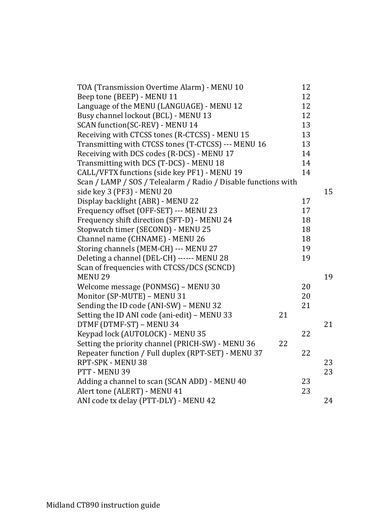| TOA (Transmission Overtime Alarm) - MENU 10                    |    | 12 |    |
|----------------------------------------------------------------|----|----|----|
| Beep tone (BEEP) - MENU 11                                     |    | 12 |    |
| Language of the MENU (LANGUAGE) - MENU 12                      |    | 12 |    |
| Busy channel lockout (BCL) - MENU 13                           |    | 12 |    |
| SCAN function(SC-REV) - MENU 14                                |    | 13 |    |
| Receiving with CTCSS tones (R-CTCSS) - MENU 15                 |    | 13 |    |
| Transmitting with CTCSS tones (T-CTCSS) --- MENU 16            |    | 13 |    |
| Receiving with DCS codes (R-DCS) - MENU 17                     |    | 14 |    |
| Transmitting with DCS (T-DCS) - MENU 18                        |    | 14 |    |
| CALL/VFTX functions (side key PF1) - MENU 19                   |    | 14 |    |
| Scan / LAMP / SOS / Telealarm / Radio / Disable functions with |    |    |    |
| side key 3 (PF3) - MENU 20                                     |    |    | 15 |
| Display backlight (ABR) - MENU 22                              |    | 17 |    |
| Frequency offset (OFF-SET) --- MENU 23                         |    | 17 |    |
| Frequency shift direction (SFT-D) - MENU 24                    |    | 18 |    |
| Stopwatch timer (SECOND) - MENU 25                             |    | 18 |    |
| Channel name (CHNAME) - MENU 26                                |    | 18 |    |
| Storing channels (MEM-CH) --- MENU 27                          |    | 19 |    |
| Deleting a channel (DEL-CH) ------ MENU 28                     |    | 19 |    |
| Scan of frequencies with CTCSS/DCS (SCNCD)                     |    |    |    |
| MENU <sub>29</sub>                                             |    |    | 19 |
| Welcome message (PONMSG) - MENU 30                             |    | 20 |    |
| Monitor (SP-MUTE) - MENU 31                                    |    | 20 |    |
| Sending the ID code (ANI-SW) - MENU 32                         |    | 21 |    |
| Setting the ID ANI code (ani-edit) - MENU 33                   | 21 |    |    |
| DTMF (DTMF-ST) - MENU 34                                       |    |    | 21 |
| Keypad lock (AUTOLOCK) - MENU 35                               |    | 22 |    |
| Setting the priority channel (PRICH-SW) - MENU 36              | 22 |    |    |
| Repeater function / Full duplex (RPT-SET) - MENU 37            |    | 22 |    |
| RPT-SPK - MENU 38                                              |    |    | 23 |
| PTT - MENU 39                                                  |    |    | 23 |
| Adding a channel to scan (SCAN ADD) - MENU 40                  |    | 23 |    |
| Alert tone (ALERT) - MENU 41                                   |    | 23 |    |
| ANI code tx delay (PTT-DLY) - MENU 42                          |    |    | 24 |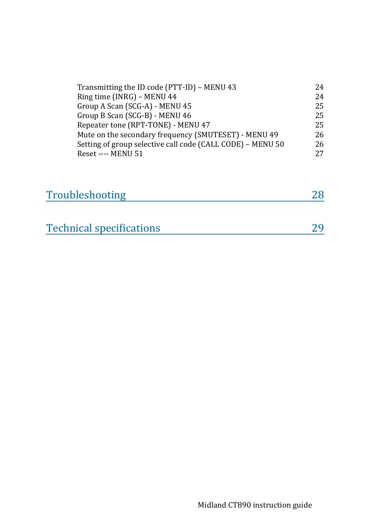| Transmitting the ID code (PTT-ID) - MENU 43                | 24 |
|------------------------------------------------------------|----|
| Ring time (INRG) – MENU 44                                 | 24 |
| Group A Scan (SCG-A) - MENU 45                             | 25 |
| Group B Scan (SCG-B) - MENU 46                             | 25 |
| Repeater tone (RPT-TONE) - MENU 47                         | 25 |
| Mute on the secondary frequency (SMUTESET) - MENU 49       | 26 |
| Setting of group selective call code (CALL CODE) - MENU 50 | 26 |
| <b>Reset ---- MENU 51</b>                                  | 27 |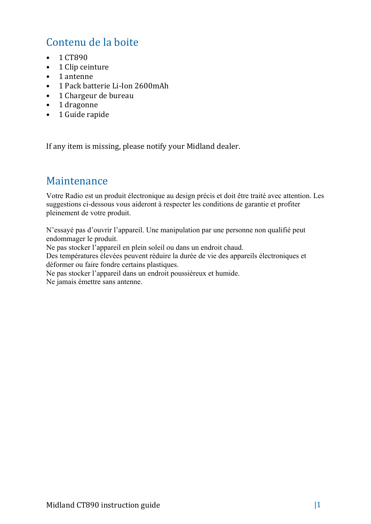## Contenu de la boite

- 1 CT890
- 1 Clip ceinture
- 1 antenne
- 1 Pack batterie Li-Ion 2600mAh
- 1 Chargeur de bureau
- 1 dragonne
- 1 Guide rapide

If any item is missing, please notify your Midland dealer.

## Maintenance

Votre Radio est un produit électronique au design précis et doit être traité avec attention. Les suggestions ci-dessous vous aideront à respecter les conditions de garantie et profiter pleinement de votre produit.

N'essayé pas d'ouvrir l'appareil. Une manipulation par une personne non qualifié peut endommager le produit.

Ne pas stocker l'appareil en plein soleil ou dans un endroit chaud.

Des températures élevées peuvent réduire la durée de vie des appareils électroniques et déformer ou faire fondre certains plastiques.

Ne pas stocker l'appareil dans un endroit poussiéreux et humide.

Ne jamais émettre sans antenne.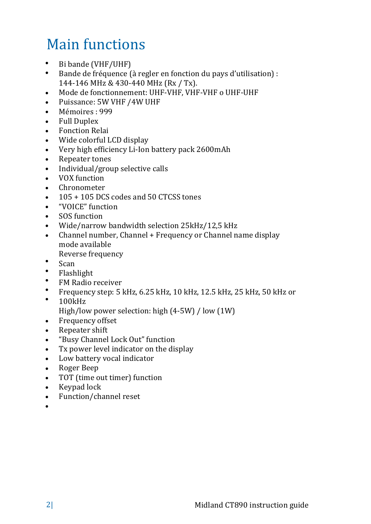# **Main functions**

- Bi bande (VHF/UHF)
- Bande de fréquence (à regler en fonction du pays d'utilisation) : 144-146 MHz & 430-440 MHz (Rx / Tx).
- Mode de fonctionnement: UHF-VHF, VHF-VHF o UHF-UHF
- Puissance: 5W VHF /4W UHF
- Mémoires: 999
- Full Duplex
- Fonction Relai
- Wide colorful LCD display
- Very high efficiency Li-Ion battery pack 2600mAh
- Repeater tones
- Individual/group selective calls
- VOX function
- Chronometer
- $105 + 105$  DCS codes and  $50$  CTCSS tones
- "VOICE" function
- SOS function
- Wide/narrow bandwidth selection 25kHz/12,5 kHz
- Channel number, Channel + Frequency or Channel name display mode available
	- Reverse frequency
- $\bullet$ Scan
- Flashlight
- FM Radio receiver
- Frequency step: 5 kHz, 6.25 kHz, 10 kHz, 12.5 kHz, 25 kHz, 50 kHz or
- 100kHz High/low power selection: high  $(4-5W)$  / low  $(1W)$
- Frequency offset
- Repeater shift
- "Busy Channel Lock Out" function
- Tx power level indicator on the display
- Low battery vocal indicator
- Roger Beep
- TOT (time out timer) function
- Keypad lock
- $\bullet$ Function/channel reset
- •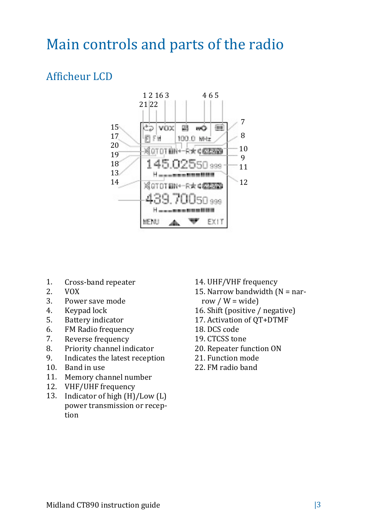# Main controls and parts of the radio

## Afficheur LCD



- 1. Cross-band repeater
- 2. VOX
- 3. Power save mode
- 4. Keypad lock
- 5. **Battery** indicator
- 6. FM Radio frequency
- 7. Reverse frequency
- 8. Priority channel indicator
- 9. Indicates the latest reception
- 10. Band in use
- 11. Memory channel number
- 12. VHF/UHF frequency
- 13. Indicator of high  $(H)/Low(L)$ power transmission or reception
- 14. UHF/VHF frequency
- 15. Narrow bandwidth  $(N = nar$ row  $/W =$  wide)
- 16. Shift (positive / negative)
- 17. Activation of QT+DTMF
- 18. DCS code
- 19. CTCSS tone
- 20. Repeater function ON
- 21. Function mode
- 22. FM radio band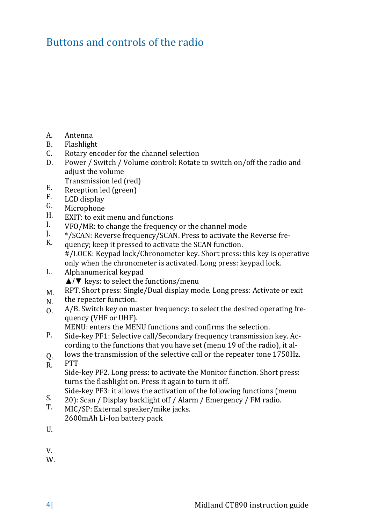## Buttons and controls of the radio

- A. Antenna
- B. Flashlight
- C. Rotary encoder for the channel selection
- D. Power / Switch / Volume control: Rotate to switch on/off the radio and adjust the volume
	- Transmission led (red)
- E. Reception led (green)
- F. LCD display
- G. Microphone
- H. EXIT: to exit menu and functions
- I. VFO/MR: to change the frequency or the channel mode
- J. \*/SCAN: Reverse frequency/SCAN. Press to activate the Reverse fre-
- K. quency; keep it pressed to activate the SCAN function. #/LOCK: Keypad lock/Chronometer key. Short press: this key is operative only when the chronometer is activated. Long press: keypad lock.
- L. Alphanumerical keypad  $\triangle$ / $\nabla$  keys: to select the functions/menu
- M. RPT. Short press: Single/Dual display mode. Long press: Activate or exit
- N. the repeater function.
- $\Omega$ . A/B. Switch key on master frequency: to select the desired operating frequency (VHF or UHF).
	- MENU: enters the MENU functions and confirms the selection.
- P. Side-key PF1: Selective call/Secondary frequency transmission key. According to the functions that you have set (menu 19 of the radio), it al-
- Q. lows the transmission of the selective call or the repeater tone 1750Hz.
- R. PTT

Side-key PF2. Long press: to activate the Monitor function. Short press: turns the flashlight on. Press it again to turn it off.

- Side-key PF3: it allows the activation of the following functions (menu
- S. 20): Scan / Display backlight off / Alarm / Emergency / FM radio.
- T. MIC/SP: External speaker/mike jacks. 2600mAh Li-Ion battery pack
- U.

V.

W.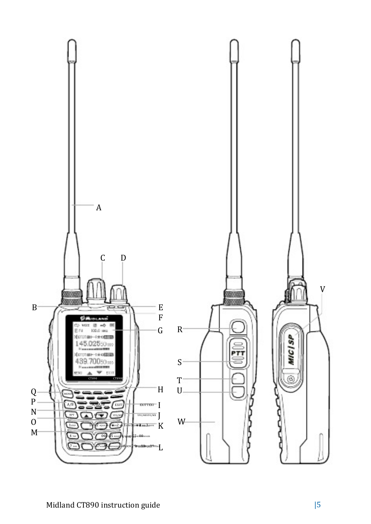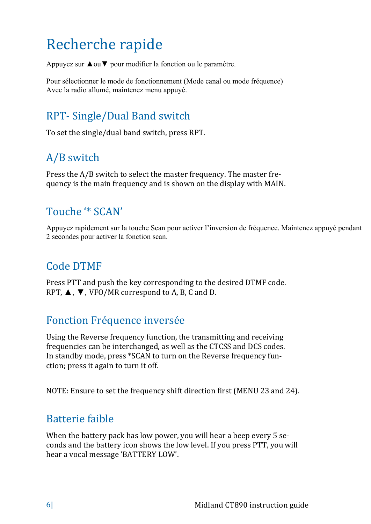# Recherche rapide

Appuyez sur ▲ou▼ pour modifier la fonction ou le paramètre.

Pour sélectionner le mode de fonctionnement (Mode canal ou mode fréquence) Avec la radio allumé, maintenez menu appuyé.

## RPT- Single/Dual Band switch

To set the single/dual band switch, press RPT.

## A/B switch

Press the A/B switch to select the master frequency. The master frequency is the main frequency and is shown on the display with MAIN.

## Touche '\* SCAN'

Appuyez rapidement sur la touche Scan pour activer l'inversion de fréquence. Maintenez appuyé pendant 2 secondes pour activer la fonction scan.

## Code DTMF

Press PTT and push the key corresponding to the desired DTMF code. RPT,  $\blacktriangle$ ,  $\nabla$ , VFO/MR correspond to A, B, C and D.

## Fonction Fréquence inversée

Using the Reverse frequency function, the transmitting and receiving frequencies can be interchanged, as well as the CTCSS and DCS codes. In standby mode, press \*SCAN to turn on the Reverse frequency function; press it again to turn it off.

NOTE: Ensure to set the frequency shift direction first (MENU 23 and 24).

## Batterie faible

When the battery pack has low power, you will hear a beep every 5 seconds and the battery icon shows the low level. If you press PTT, you will hear a vocal message 'BATTERY LOW'.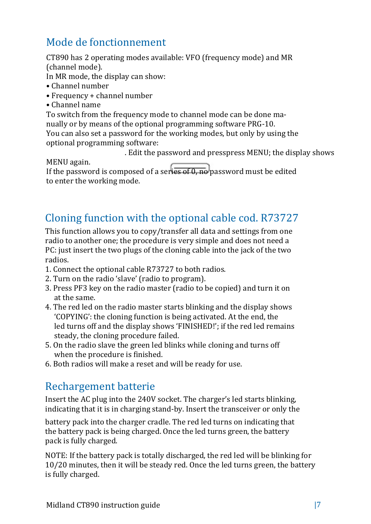## Mode de fonctionnement

CT890 has 2 operating modes available: VFO (frequency mode) and MR (channel mode).

In MR mode, the display can show:

- Channel number
- Frequency + channel number
- Channel name

To switch from the frequency mode to channel mode can be done manually or by means of the optional programming software PRG-10.

You can also set a password for the working modes, but only by using the optional programming software:

. Edit the password and presspress MENU; the display shows

MENU again.

If the password is composed of a series of  $\overline{0}$ , no password must be edited to enter the working mode.

## Cloning function with the optional cable cod. R73727

This function allows you to copy/transfer all data and settings from one radio to another one; the procedure is very simple and does not need a PC: just insert the two plugs of the cloning cable into the jack of the two radios.

- 1. Connect the optional cable R73727 to both radios.
- 2. Turn on the radio 'slave' (radio to program).
- 3. Press PF3 key on the radio master (radio to be copied) and turn it on at the same.
- 4. The red led on the radio master starts blinking and the display shows 'COPYING': the cloning function is being activated. At the end, the led turns off and the display shows 'FINISHED!'; if the red led remains steady, the cloning procedure failed.
- 5. On the radio slave the green led blinks while cloning and turns off when the procedure is finished.
- 6. Both radios will make a reset and will be ready for use.

## Rechargement batterie

Insert the AC plug into the 240V socket. The charger's led starts blinking, indicating that it is in charging stand-by. Insert the transceiver or only the

battery pack into the charger cradle. The red led turns on indicating that the battery pack is being charged. Once the led turns green, the battery pack is fully charged.

NOTE: If the battery pack is totally discharged, the red led will be blinking for 10/20 minutes, then it will be steady red. Once the led turns green, the battery is fully charged.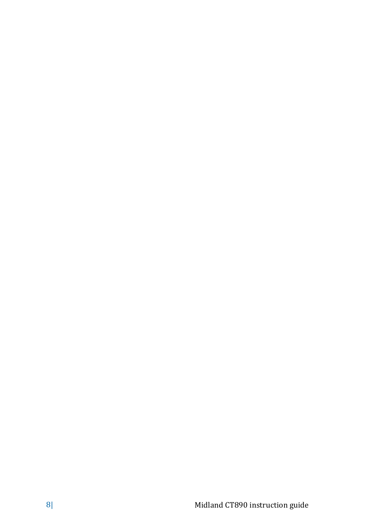8| Midland CT890 instruction guide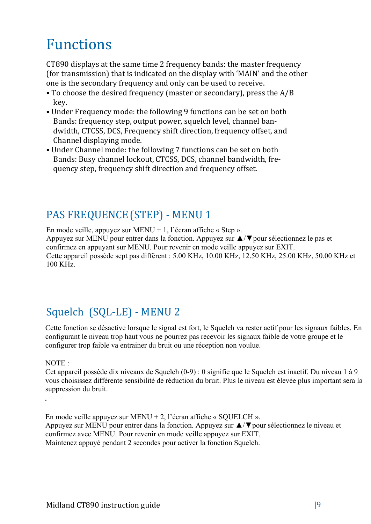# Functions

CT890 displays at the same time 2 frequency bands: the master frequency (for transmission) that is indicated on the display with 'MAIN' and the other one is the secondary frequency and only can be used to receive.

- To choose the desired frequency (master or secondary), press the A/B key.
- Under Frequency mode: the following 9 functions can be set on both Bands: frequency step, output power, squelch level, channel bandwidth, CTCSS, DCS, Frequency shift direction, frequency offset, and Channel displaying mode.
- Under Channel mode: the following 7 functions can be set on both Bands: Busy channel lockout, CTCSS, DCS, channel bandwidth, frequency step, frequency shift direction and frequency offset.

## PAS FREQUENCE (STEP) - MENU 1

En mode veille, appuyez sur MENU + 1, l'écran affiche « Step ». Appuyez sur MENU pour entrer dans la fonction. Appuyez sur ▲/▼pour sélectionnez le pas et confirmez en appuyant sur MENU. Pour revenir en mode veille appuyez sur EXIT. Cette appareil possède sept pas différent : 5.00 KHz, 10.00 KHz, 12.50 KHz, 25.00 KHz, 50.00 KHz et 100 KHz.

## Squelch (SQL-LE) - MENU 2

Cette fonction se désactive lorsque le signal est fort, le Squelch va rester actif pour les signaux faibles. En configurant le niveau trop haut vous ne pourrez pas recevoir les signaux faible de votre groupe et le configurer trop faible va entrainer du bruit ou une réception non voulue.

#### NOTE :

.

Cet appareil possède dix niveaux de Squelch (0-9) : 0 signifie que le Squelch est inactif. Du niveau 1 à 9 vous choisissez différente sensibilité de réduction du bruit. Plus le niveau est élevée plus important sera la suppression du bruit.

En mode veille appuyez sur MENU + 2, l'écran affiche « SQUELCH ». Appuyez sur MENU pour entrer dans la fonction. Appuyez sur ▲/▼pour sélectionnez le niveau et confirmez avec MENU. Pour revenir en mode veille appuyez sur EXIT. Maintenez appuyé pendant 2 secondes pour activer la fonction Squelch.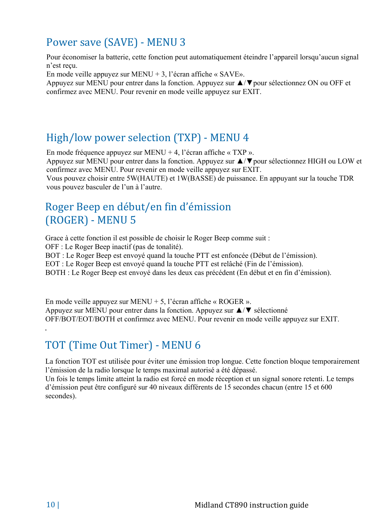## Power save (SAVE) - MENU 3

Pour économiser la batterie, cette fonction peut automatiquement éteindre l'appareil lorsqu'aucun signal n'est reçu.

En mode veille appuyez sur MENU + 3, l'écran affiche «  $SAVE$ ».

Appuyez sur MENU pour entrer dans la fonction. Appuyez sur ▲/▼pour sélectionnez ON ou OFF et confirmez avec MENU. Pour revenir en mode veille appuyez sur EXIT.

## High/low power selection (TXP) - MENU 4

En mode fréquence appuyez sur MENU + 4, l'écran affiche « TXP ».

Appuyez sur MENU pour entrer dans la fonction. Appuyez sur ▲/▼pour sélectionnez HIGH ou LOW et confirmez avec MENU. Pour revenir en mode veille appuyez sur EXIT.

Vous pouvez choisir entre 5W(HAUTE) et 1W(BASSE) de puissance. En appuyant sur la touche TDR vous pouvez basculer de l'un à l'autre.

## Roger Beep en début/en fin d'émission (ROGER) - MENU 5

Grace à cette fonction il est possible de choisir le Roger Beep comme suit :

OFF : Le Roger Beep inactif (pas de tonalité).

BOT : Le Roger Beep est envoyé quand la touche PTT est enfoncée (Début de l'émission).

EOT : Le Roger Beep est envoyé quand la touche PTT est relâché (Fin de l'émission).

BOTH : Le Roger Beep est envoyé dans les deux cas précédent (En début et en fin d'émission).

En mode veille appuyez sur MENU + 5, l'écran affiche « ROGER ». Appuyez sur MENU pour entrer dans la fonction. Appuyez sur ▲/▼ sélectionné OFF/BOT/EOT/BOTH et confirmez avec MENU. Pour revenir en mode veille appuyez sur EXIT. .

## TOT (Time Out Timer) - MENU 6

La fonction TOT est utilisée pour éviter une émission trop longue. Cette fonction bloque temporairement l'émission de la radio lorsque le temps maximal autorisé a été dépassé.

Un fois le temps limite atteint la radio est forcé en mode réception et un signal sonore retenti. Le temps d'émission peut être configuré sur 40 niveaux différents de 15 secondes chacun (entre 15 et 600 secondes).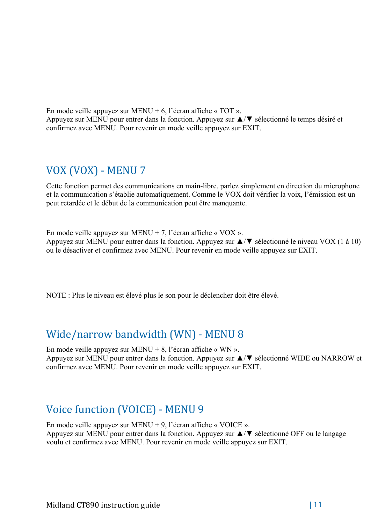En mode veille appuyez sur MENU + 6, l'écran affiche «  $TOT$  ». Appuyez sur MENU pour entrer dans la fonction. Appuyez sur ▲/▼ sélectionné le temps désiré et confirmez avec MENU. Pour revenir en mode veille appuyez sur EXIT.

## VOX (VOX) - MENU 7

Cette fonction permet des communications en main-libre, parlez simplement en direction du microphone et la communication s'établie automatiquement. Comme le VOX doit vérifier la voix, l'émission est un peut retardée et le début de la communication peut être manquante.

En mode veille appuyez sur MENU + 7, l'écran affiche « VOX ». Appuyez sur MENU pour entrer dans la fonction. Appuyez sur ▲/▼ sélectionné le niveau VOX (1 à 10) ou le désactiver et confirmez avec MENU. Pour revenir en mode veille appuyez sur EXIT.

NOTE : Plus le niveau est élevé plus le son pour le déclencher doit être élevé.

## Wide/narrow bandwidth (WN) - MENU 8

En mode veille appuyez sur MENU + 8, l'écran affiche « WN ». Appuyez sur MENU pour entrer dans la fonction. Appuyez sur ▲/▼ sélectionné WIDE ou NARROW et confirmez avec MENU. Pour revenir en mode veille appuyez sur EXIT.

## Voice function (VOICE) - MENU 9

En mode veille appuyez sur MENU + 9, l'écran affiche « VOICE ». Appuyez sur MENU pour entrer dans la fonction. Appuyez sur ▲/▼ sélectionné OFF ou le langage voulu et confirmez avec MENU. Pour revenir en mode veille appuyez sur EXIT.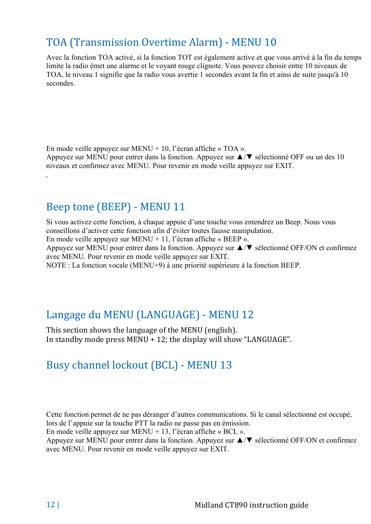## TOA (Transmission Overtime Alarm) - MENU 10

Avec la fonction TOA activé, si la fonction TOT est également active et que vous arrivé à la fin du temps limite la radio émet une alarme et le voyant rouge clignote. Vous pouvez choisir entre 10 niveaux de TOA, le niveau 1 signifie que la radio vous avertie 1 secondes avant la fin et ainsi de suite jusqu'à 10 secondes.

En mode veille appuyez sur MENU + 10, l'écran affiche « TOA ». Appuyez sur MENU pour entrer dans la fonction. Appuyez sur ▲/▼ sélectionné OFF ou un des 10 niveaux et confirmez avec MENU. Pour revenir en mode veille appuyez sur EXIT.

## Beep tone (BEEP) - MENU 11

Si vous activez cette fonction, à chaque appuie d'une touche vous entendrez un Beep. Nous vous conseillons d'activer cette fonction afin d'éviter toutes fausse manipulation. En mode veille appuyez sur MENU + 11, l'écran affiche « BEEP ». Appuyez sur MENU pour entrer dans la fonction. Appuyez sur ▲/▼ sélectionné OFF/ON et confirmez avec MENU. Pour revenir en mode veille appuyez sur EXIT. NOTE : La fonction vocale (MENU+9) à une priorité supérieure à la fonction BEEP.

## Langage du MENU (LANGUAGE) - MENU 12

This section shows the language of the MENU (english). In standby mode press  $MENU + 12$ ; the display will show "LANGUAGE".

## Busy channel lockout (BCL) - MENU 13

Cette fonction permet de ne pas déranger d'autres communications. Si le canal sélectionné est occupé, lors de l'appuie sur la touche PTT la radio ne passe pas en émission.

En mode veille appuyez sur MENU + 13, l'écran affiche « BCL ».

Appuyez sur MENU pour entrer dans la fonction. Appuyez sur ▲/▼ sélectionné OFF/ON et confirmez avec MENU. Pour revenir en mode veille appuyez sur EXIT.

.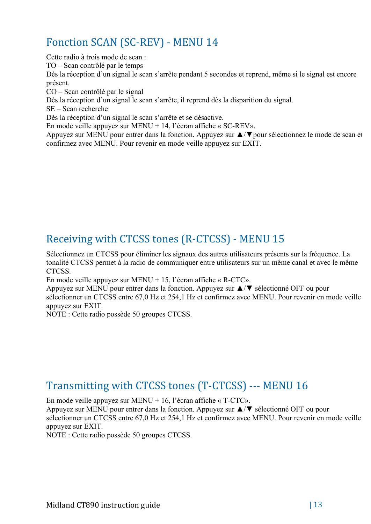## Fonction SCAN (SC-REV) - MENU 14

Cette radio à trois mode de scan :

TO – Scan contrôlé par le temps

Dès la réception d'un signal le scan s'arrête pendant 5 secondes et reprend, même si le signal est encore présent.

CO – Scan contrôlé par le signal

Dès la réception d'un signal le scan s'arrête, il reprend dès la disparition du signal.

SE – Scan recherche

Dès la réception d'un signal le scan s'arrête et se désactive.

En mode veille appuyez sur MENU + 14, l'écran affiche « SC-REV».

Appuyez sur MENU pour entrer dans la fonction. Appuyez sur ▲/▼pour sélectionnez le mode de scan et confirmez avec MENU. Pour revenir en mode veille appuyez sur EXIT.

## Receiving with CTCSS tones (R-CTCSS) - MENU 15

Sélectionnez un CTCSS pour éliminer les signaux des autres utilisateurs présents sur la fréquence. La tonalité CTCSS permet à la radio de communiquer entre utilisateurs sur un même canal et avec le même CTCSS.

En mode veille appuyez sur MENU + 15, l'écran affiche « R-CTC».

Appuyez sur MENU pour entrer dans la fonction. Appuyez sur ▲/▼ sélectionné OFF ou pour sélectionner un CTCSS entre 67,0 Hz et 254,1 Hz et confirmez avec MENU. Pour revenir en mode veille appuyez sur EXIT.

NOTE : Cette radio possède 50 groupes CTCSS.

## Transmitting with CTCSS tones (T-CTCSS) --- MENU 16

En mode veille appuyez sur MENU + 16, l'écran affiche « T-CTC».

Appuyez sur MENU pour entrer dans la fonction. Appuyez sur ▲/▼ sélectionné OFF ou pour

sélectionner un CTCSS entre 67,0 Hz et 254,1 Hz et confirmez avec MENU. Pour revenir en mode veille appuyez sur EXIT.

NOTE : Cette radio possède 50 groupes CTCSS.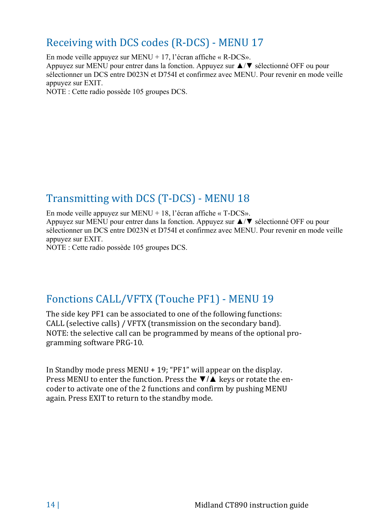## Receiving with DCS codes (R-DCS) - MENU 17

En mode veille appuyez sur MENU + 17, l'écran affiche « R-DCS». Appuyez sur MENU pour entrer dans la fonction. Appuyez sur ▲/▼ sélectionné OFF ou pour sélectionner un DCS entre D023N et D754I et confirmez avec MENU. Pour revenir en mode veille appuyez sur EXIT. NOTE : Cette radio possède 105 groupes DCS.

## Transmitting with DCS (T-DCS) - MENU 18

En mode veille appuyez sur MENU + 18, l'écran affiche « T-DCS».

Appuyez sur MENU pour entrer dans la fonction. Appuyez sur ▲/▼ sélectionné OFF ou pour sélectionner un DCS entre D023N et D754I et confirmez avec MENU. Pour revenir en mode veille appuyez sur EXIT.

NOTE : Cette radio possède 105 groupes DCS.

## Fonctions CALL/VFTX (Touche PF1) - MENU 19

The side key PF1 can be associated to one of the following functions: CALL (selective calls) / VFTX (transmission on the secondary band). NOTE: the selective call can be programmed by means of the optional programming software PRG-10.

In Standby mode press  $MENU + 19$ ; "PF1" will appear on the display. Press MENU to enter the function. Press the  $\P/$  **A** keys or rotate the encoder to activate one of the 2 functions and confirm by pushing MENU again. Press EXIT to return to the standby mode.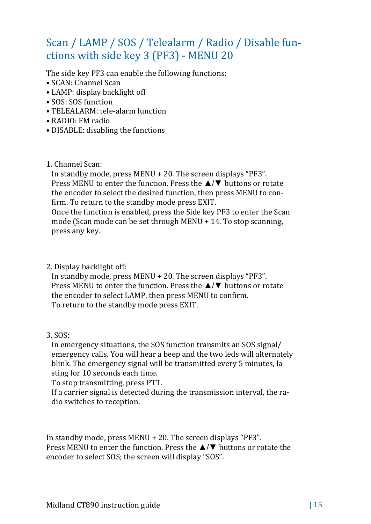## Scan / LAMP / SOS / Telealarm / Radio / Disable functions with side key 3 (PF3) - MENU 20

The side key PF3 can enable the following functions:

- SCAN: Channel Scan
- LAMP: display backlight off
- SOS: SOS function
- TELEALARM: tele-alarm function
- RADIO: FM radio
- DISABLE: disabling the functions

#### 1. Channel Scan:

In standby mode, press MENU  $+$  20. The screen displays "PF3". Press MENU to enter the function. Press the  $\triangle/\triangledown$  buttons or rotate the encoder to select the desired function, then press MENU to confirm. To return to the standby mode press EXIT.

Once the function is enabled, press the Side key PF3 to enter the Scan mode (Scan mode can be set through MENU  $+$  14. To stop scanning, press any key.

2. Display backlight off:

In standby mode, press  $MENU + 20$ . The screen displays "PF3". Press MENU to enter the function. Press the  $\triangle/\triangledown$  buttons or rotate the encoder to select LAMP, then press MENU to confirm. To return to the standby mode press EXIT.

#### $3.$  SOS:

In emergency situations, the SOS function transmits an SOS signal/ emergency calls. You will hear a beep and the two leds will alternately blink. The emergency signal will be transmitted every 5 minutes, lasting for 10 seconds each time.

To stop transmitting, press PTT.

If a carrier signal is detected during the transmission interval, the radio switches to reception.

In standby mode, press  $MENU + 20$ . The screen displays "PF3". Press MENU to enter the function. Press the  $\triangle$ /▼ buttons or rotate the encoder to select SOS; the screen will display "SOS".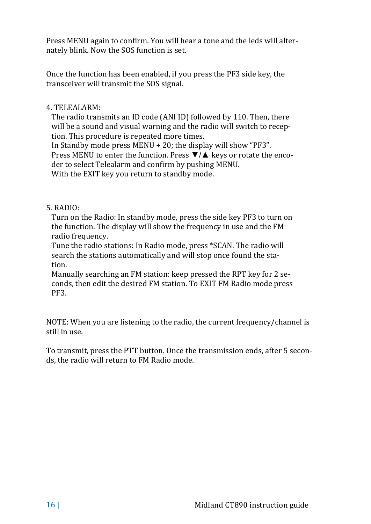Press MENU again to confirm. You will hear a tone and the leds will alternately blink. Now the SOS function is set.

Once the function has been enabled, if you press the PF3 side key, the transceiver will transmit the SOS signal.

#### 4. TELEALARM:

The radio transmits an ID code (ANI ID) followed by 110. Then, there will be a sound and visual warning and the radio will switch to reception. This procedure is repeated more times.

In Standby mode press MENU + 20; the display will show "PF3".

Press MENU to enter the function. Press  $\P$  /  $\blacktriangle$  keys or rotate the encoder to select Telealarm and confirm by pushing MENU.

With the EXIT key you return to standby mode.

#### $5.$  RADIO:

Turn on the Radio: In standby mode, press the side key PF3 to turn on the function. The display will show the frequency in use and the FM radio frequency.

Tune the radio stations: In Radio mode, press \*SCAN. The radio will search the stations automatically and will stop once found the sta- tion.

Manually searching an FM station: keep pressed the RPT key for 2 seconds, then edit the desired FM station. To EXIT FM Radio mode press PF3.

NOTE: When you are listening to the radio, the current frequency/channel is still in use.

To transmit, press the PTT button. Once the transmission ends, after 5 seconds, the radio will return to FM Radio mode.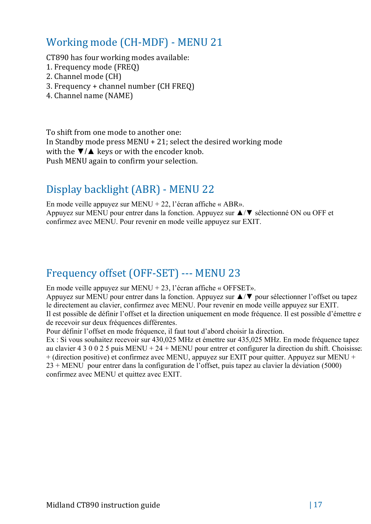## Working mode (CH-MDF) - MENU 21

CT890 has four working modes available:

- 1. Frequency mode (FREQ)
- 2. Channel mode (CH)
- 3. Frequency + channel number (CH FREQ)
- 4. Channel name (NAME)

To shift from one mode to another one: In Standby mode press  $MENU + 21$ ; select the desired working mode with the  $\nabla/\blacktriangle$  keys or with the encoder knob. Push MENU again to confirm your selection.

## Display backlight (ABR) - MENU 22

En mode veille appuyez sur MENU + 22, l'écran affiche « ABR». Appuyez sur MENU pour entrer dans la fonction. Appuyez sur ▲/▼ sélectionné ON ou OFF et confirmez avec MENU. Pour revenir en mode veille appuyez sur EXIT.

## Frequency offset (OFF-SET) --- MENU 23

En mode veille appuyez sur MENU + 23, l'écran affiche « OFFSET».

Appuyez sur MENU pour entrer dans la fonction. Appuyez sur ▲/▼ pour sélectionner l'offset ou tapez le directement au clavier, confirmez avec MENU. Pour revenir en mode veille appuyez sur EXIT. Il est possible de définir l'offset et la direction uniquement en mode fréquence. Il est possible d'émettre e de recevoir sur deux fréquences différentes.

Pour définir l'offset en mode fréquence, il faut tout d'abord choisir la direction.

Ex : Si vous souhaitez recevoir sur 430,025 MHz et émettre sur 435,025 MHz. En mode fréquence tapez au clavier 4 3 0 0 2 5 puis MENU + 24 + MENU pour entrer et configurer la direction du shift. Choisissez + (direction positive) et confirmez avec MENU, appuyez sur EXIT pour quitter. Appuyez sur MENU + 23 + MENU pour entrer dans la configuration de l'offset, puis tapez au clavier la déviation (5000) confirmez avec MENU et quittez avec EXIT.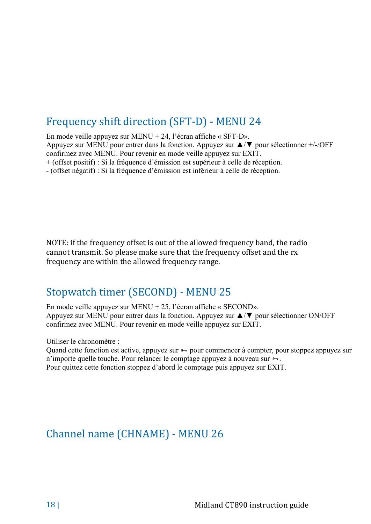## Frequency shift direction (SFT-D) - MENU 24

En mode veille appuyez sur MENU + 24, l'écran affiche « SFT-D». Appuyez sur MENU pour entrer dans la fonction. Appuyez sur ▲/▼ pour sélectionner +/-/OFF confirmez avec MENU. Pour revenir en mode veille appuyez sur EXIT. + (offset positif) : Si la fréquence d'émission est supérieur à celle de réception. - (offset négatif) : Si la fréquence d'émission est inférieur à celle de réception.

NOTE: if the frequency offset is out of the allowed frequency band, the radio cannot transmit. So please make sure that the frequency offset and the rx frequency are within the allowed frequency range.

## Stopwatch timer (SECOND) - MENU 25

En mode veille appuyez sur MENU + 25, l'écran affiche « SECOND». Appuyez sur MENU pour entrer dans la fonction. Appuyez sur ▲/▼ pour sélectionner ON/OFF confirmez avec MENU. Pour revenir en mode veille appuyez sur EXIT.

Utiliser le chronomètre :

Quand cette fonction est active, appuyez sur  $\rightarrow$  pour commencer à compter, pour stoppez appuyez sur n'importe quelle touche. Pour relancer le comptage appuyez à nouveau sur  $\rightarrow$ . Pour quittez cette fonction stoppez d'abord le comptage puis appuyez sur EXIT.

## Channel name (CHNAME) - MENU 26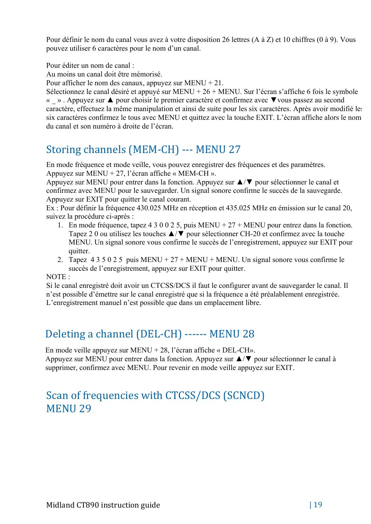Pour définir le nom du canal vous avez à votre disposition 26 lettres (A à Z) et 10 chiffres (0 à 9). Vous pouvez utiliser 6 caractères pour le nom d'un canal.

Pour éditer un nom de canal :

Au moins un canal doit être mémorisé.

Pour afficher le nom des canaux, appuyez sur MENU + 21.

Sélectionnez le canal désiré et appuyé sur MENU + 26 + MENU. Sur l'écran s'affiche 6 fois le symbole « \_ » . Appuyez sur ▲ pour choisir le premier caractère et confirmez avec ▼vous passez au second caractère, effectuez la même manipulation et ainsi de suite pour les six caractères. Après avoir modifié les six caractères confirmez le tous avec MENU et quittez avec la touche EXIT. L'écran affiche alors le nom du canal et son numéro à droite de l'écran.

## Storing channels (MEM-CH) --- MENU 27

En mode fréquence et mode veille, vous pouvez enregistrer des fréquences et des paramètres. Appuyez sur MENU + 27, l'écran affiche « MEM-CH ».

Appuyez sur MENU pour entrer dans la fonction. Appuyez sur ▲/▼ pour sélectionner le canal et confirmez avec MENU pour le sauvegarder. Un signal sonore confirme le succès de la sauvegarde. Appuyez sur EXIT pour quitter le canal courant.

Ex : Pour définir la fréquence 430.025 MHz en réception et 435.025 MHz en émission sur le canal 20, suivez la procédure ci-après :

- 1. En mode fréquence, tapez 4 3 0 0 2 5, puis MENU +  $27 + \text{MENU}$  pour entrez dans la fonction. Tapez 2 0 ou utilisez les touches ▲/▼ pour sélectionner CH-20 et confirmez avec la touche MENU. Un signal sonore vous confirme le succès de l'enregistrement, appuyez sur EXIT pour quitter.
- 2. Tapez  $435025$  puis MENU +  $27 + \text{MENU} + \text{MENU}$ . Un signal sonore vous confirme le succès de l'enregistrement, appuyez sur EXIT pour quitter.

#### NOTE :

Si le canal enregistré doit avoir un CTCSS/DCS il faut le configurer avant de sauvegarder le canal. Il n'est possible d'émettre sur le canal enregistré que si la fréquence a été préalablement enregistrée. L'enregistrement manuel n'est possible que dans un emplacement libre.

## Deleting a channel (DEL-CH) ------ MENU 28

En mode veille appuyez sur MENU + 28, l'écran affiche « DEL-CH». Appuyez sur MENU pour entrer dans la fonction. Appuyez sur ▲/▼ pour sélectionner le canal à supprimer, confirmez avec MENU. Pour revenir en mode veille appuyez sur EXIT.

## Scan of frequencies with CTCSS/DCS (SCNCD) MENU 29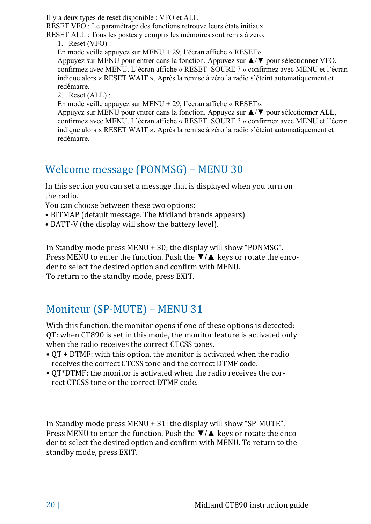Il y a deux types de reset disponible : VFO et ALL

RESET VFO : Le paramétrage des fonctions retrouve leurs états initiaux

RESET ALL : Tous les postes y compris les mémoires sont remis à zéro.

1. Reset (VFO) :

En mode veille appuyez sur MENU + 29, l'écran affiche « RESET».

Appuyez sur MENU pour entrer dans la fonction. Appuyez sur ▲/▼ pour sélectionner VFO, confirmez avec MENU. L'écran affiche « RESET SOURE ? » confirmez avec MENU et l'écran indique alors « RESET WAIT ». Après la remise à zéro la radio s'éteint automatiquement et redémarre.

2. Reset (ALL) :

En mode veille appuyez sur MENU + 29, l'écran affiche « RESET».

Appuyez sur MENU pour entrer dans la fonction. Appuyez sur ▲/▼ pour sélectionner ALL, confirmez avec MENU. L'écran affiche « RESET SOURE ? » confirmez avec MENU et l'écran indique alors « RESET WAIT ». Après la remise à zéro la radio s'éteint automatiquement et redémarre.

## Welcome message (PONMSG) – MENU 30

In this section you can set a message that is displayed when you turn on the radio.

You can choose between these two options:

- BITMAP (default message. The Midland brands appears)
- BATT-V (the display will show the battery level).

In Standby mode press  $MENU + 30$ ; the display will show "PONMSG". Press MENU to enter the function. Push the  $\P/$  **A** keys or rotate the encoder to select the desired option and confirm with MENU. To return to the standby mode, press EXIT.

## Moniteur (SP-MUTE) – MENU 31

With this function, the monitor opens if one of these options is detected: OT: when CT890 is set in this mode, the monitor feature is activated only when the radio receives the correct CTCSS tones.

- $QT + DTMF$ : with this option, the monitor is activated when the radio receives the correct CTCSS tone and the correct DTMF code.
- OT\*DTMF: the monitor is activated when the radio receives the correct CTCSS tone or the correct DTMF code.

In Standby mode press  $MENU + 31$ ; the display will show "SP-MUTE". Press MENU to enter the function. Push the  $\P/$  **A** keys or rotate the encoder to select the desired option and confirm with MENU. To return to the standby mode, press EXIT.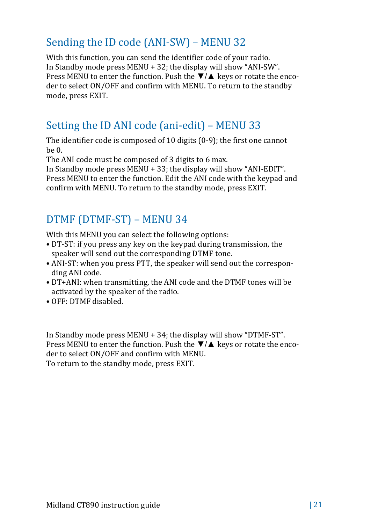## Sending the ID code (ANI-SW) – MENU 32

With this function, you can send the identifier code of your radio. In Standby mode press  $MENU + 32$ ; the display will show "ANI-SW". Press MENU to enter the function. Push the  $\P/$  **A** keys or rotate the encoder to select ON/OFF and confirm with MENU. To return to the standby mode, press EXIT.

## Setting the ID ANI code (ani-edit) – MENU 33

The identifier code is composed of 10 digits  $(0-9)$ ; the first one cannot  $be<sub>0</sub>$ .

The ANI code must be composed of 3 digits to 6 max.

In Standby mode press  $MENU + 33$ ; the display will show "ANI-EDIT". Press MENU to enter the function. Edit the ANI code with the keypad and confirm with MENU. To return to the standby mode, press EXIT.

## DTMF (DTMF-ST) – MENU 34

With this MENU you can select the following options:

- DT-ST: if you press any key on the keypad during transmission, the speaker will send out the corresponding DTMF tone.
- ANI-ST: when you press PTT, the speaker will send out the corresponding ANI code.
- DT+ANI: when transmitting, the ANI code and the DTMF tones will be activated by the speaker of the radio.
- OFF: DTMF disabled.

In Standby mode press MENU  $+$  34; the display will show "DTMF-ST". Press MENU to enter the function. Push the  $\P/$  **A** keys or rotate the encoder to select ON/OFF and confirm with MENU. To return to the standby mode, press EXIT.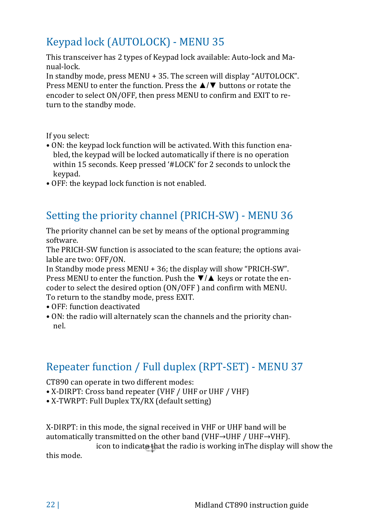## Keypad lock (AUTOLOCK) - MENU 35

This transceiver has 2 types of Keypad lock available: Auto-lock and Manual-lock.

In standby mode, press MENU  $+35$ . The screen will display "AUTOLOCK". Press MENU to enter the function. Press the  $\triangle/\triangledown$  buttons or rotate the encoder to select ON/OFF, then press MENU to confirm and EXIT to return to the standby mode.

If you select:

- ON: the keypad lock function will be activated. With this function enabled, the keypad will be locked automatically if there is no operation within 15 seconds. Keep pressed '#LOCK' for 2 seconds to unlock the keypad.
- OFF: the keypad lock function is not enabled.

## Setting the priority channel (PRICH-SW) - MENU 36

The priority channel can be set by means of the optional programming software.

The PRICH-SW function is associated to the scan feature; the options available are two: OFF/ON.

In Standby mode press  $MENU + 36$ ; the display will show "PRICH-SW". Press MENU to enter the function. Push the  $\P/$ **△** keys or rotate the encoder to select the desired option (ON/OFF) and confirm with MENU. To return to the standby mode, press EXIT.

- OFF: function deactivated
- ON: the radio will alternately scan the channels and the priority chan- nel.

## Repeater function / Full duplex (RPT-SET) - MENU 37

CT890 can operate in two different modes:

- X-DIRPT: Cross band repeater (VHF / UHF or UHF / VHF)
- X-TWRPT: Full Duplex TX/RX (default setting)

X-DIRPT: in this mode, the signal received in VHF or UHF band will be automatically transmitted on the other band (VHF $\rightarrow$ UHF / UHF $\rightarrow$ VHF).

icon to indicate that the radio is working in The display will show the this mode.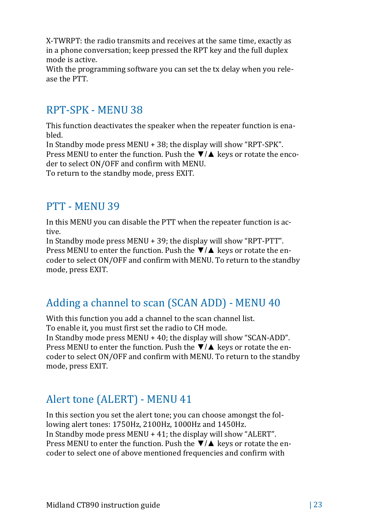X-TWRPT: the radio transmits and receives at the same time, exactly as in a phone conversation; keep pressed the RPT key and the full duplex mode is active.

With the programming software you can set the tx delay when you release the PTT

## RPT-SPK - MENU 38

This function deactivates the speaker when the repeater function is enabled.

In Standby mode press  $MENU + 38$ ; the display will show "RPT-SPK".

Press MENU to enter the function. Push the  $\P/$  **A** keys or rotate the encoder to select ON/OFF and confirm with MENU.

To return to the standby mode, press EXIT.

## PTT - MENU 39

In this MENU you can disable the PTT when the repeater function is active.

In Standby mode press  $MENU + 39$ ; the display will show "RPT-PTT". Press MENU to enter the function. Push the  $\P/$  ▲ keys or rotate the encoder to select ON/OFF and confirm with MENU. To return to the standby mode, press EXIT.

## Adding a channel to scan (SCAN ADD) - MENU 40

With this function you add a channel to the scan channel list. To enable it, you must first set the radio to CH mode. In Standby mode press  $MENU + 40$ ; the display will show "SCAN-ADD". Press MENU to enter the function. Push the  $\P/$  ▲ keys or rotate the encoder to select ON/OFF and confirm with MENU. To return to the standby mode, press EXIT.

## Alert tone (ALERT) - MENU 41

In this section you set the alert tone; you can choose amongst the following alert tones: 1750Hz, 2100Hz, 1000Hz and 1450Hz. In Standby mode press  $MENU + 41$ ; the display will show "ALERT". Press MENU to enter the function. Push the  $\P/$  ▲ keys or rotate the encoder to select one of above mentioned frequencies and confirm with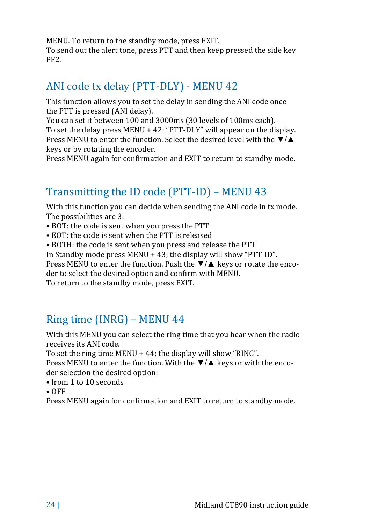MENU. To return to the standby mode, press EXIT. To send out the alert tone, press PTT and then keep pressed the side key PF2.

## ANI code tx delay (PTT-DLY) - MENU 42

This function allows you to set the delay in sending the ANI code once the PTT is pressed (ANI delay).

You can set it between 100 and 3000ms (30 levels of 100ms each). To set the delay press MENU + 42; "PTT-DLY" will appear on the display. Press MENU to enter the function. Select the desired level with the  $\nabla/\blacktriangle$ keys or by rotating the encoder.

Press MENU again for confirmation and EXIT to return to standby mode.

## Transmitting the ID code  $(PTT-ID)$  – MENU 43

With this function you can decide when sending the ANI code in tx mode. The possibilities are 3:

- BOT: the code is sent when you press the PTT
- EOT: the code is sent when the PTT is released
- BOTH: the code is sent when you press and release the PTT

In Standby mode press  $MENU + 43$ ; the display will show "PTT-ID".

Press MENU to enter the function. Push the  $\P/$  **A** keys or rotate the encoder to select the desired option and confirm with MENU.

To return to the standby mode, press EXIT.

## Ring time  $(INRG)$  – MENU 44

With this MENU you can select the ring time that you hear when the radio receives its ANI code.

To set the ring time MENU + 44; the display will show "RING".

Press MENU to enter the function. With the  $\P/$  ▲ keys or with the encoder selection the desired option:

- from 1 to 10 seconds
- $\bullet$  OFF

Press MENU again for confirmation and EXIT to return to standby mode.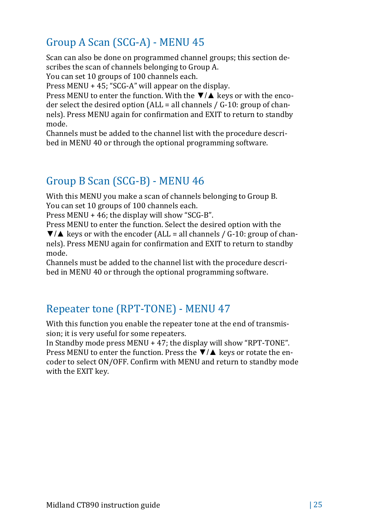## Group A Scan (SCG-A) - MENU 45

Scan can also be done on programmed channel groups; this section describes the scan of channels belonging to Group A.

You can set 10 groups of 100 channels each.

Press MENU  $+$  45; "SCG-A" will appear on the display.

Press MENU to enter the function. With the  $\P/$  **A** keys or with the encoder select the desired option  $(ALL = all channels / G-10$ : group of channels). Press MENU again for confirmation and EXIT to return to standby mode.

Channels must be added to the channel list with the procedure described in MENU 40 or through the optional programming software.

## Group B Scan (SCG-B) - MENU 46

With this MENU you make a scan of channels belonging to Group B. You can set 10 groups of 100 channels each.

Press MENU  $+$  46; the display will show "SCG-B".

Press MENU to enter the function. Select the desired option with the

 $\nabla/\Delta$  keys or with the encoder (ALL = all channels / G-10: group of channels). Press MENU again for confirmation and EXIT to return to standby

mode.

Channels must be added to the channel list with the procedure described in MENU 40 or through the optional programming software.

## Repeater tone (RPT-TONE) - MENU 47

With this function you enable the repeater tone at the end of transmission; it is very useful for some repeaters.

In Standby mode press  $MENU + 47$ ; the display will show "RPT-TONE". Press MENU to enter the function. Press the  $\P/$  **A** keys or rotate the encoder to select ON/OFF. Confirm with MENU and return to standby mode with the EXIT key.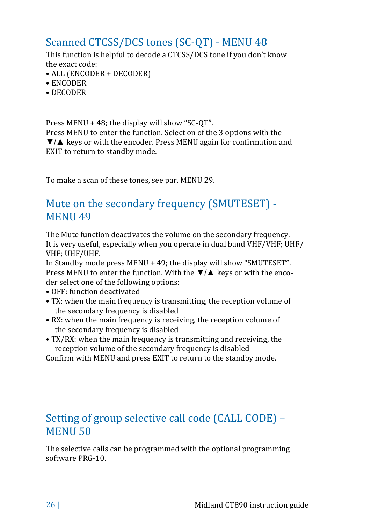## Scanned CTCSS/DCS tones (SC-QT) - MENU 48

This function is helpful to decode a CTCSS/DCS tone if you don't know the exact code:

- ALL (ENCODER + DECODER)
- ENCODER
- • DECODER

Press MENU  $+$  48; the display will show "SC-QT".

Press MENU to enter the function. Select on of the 3 options with the  $\nabla/\blacktriangle$  keys or with the encoder. Press MENU again for confirmation and EXIT to return to standby mode.

To make a scan of these tones, see par, MENU 29.

## Mute on the secondary frequency (SMUTESET) -MENII 49

The Mute function deactivates the volume on the secondary frequency. It is very useful, especially when you operate in dual band VHF/VHF; UHF/ VHF; UHF/UHF.

In Standby mode press MENU + 49; the display will show "SMUTESET". Press MENU to enter the function. With the  $\P/$  ▲ keys or with the encoder select one of the following options:

- OFF: function deactivated
- TX: when the main frequency is transmitting, the reception volume of the secondary frequency is disabled
- RX: when the main frequency is receiving, the reception volume of the secondary frequency is disabled
- TX/RX: when the main frequency is transmitting and receiving, the reception volume of the secondary frequency is disabled

Confirm with MENU and press EXIT to return to the standby mode.

## Setting of group selective call code (CALL CODE) – MENU<sub>50</sub>

The selective calls can be programmed with the optional programming software PRG-10.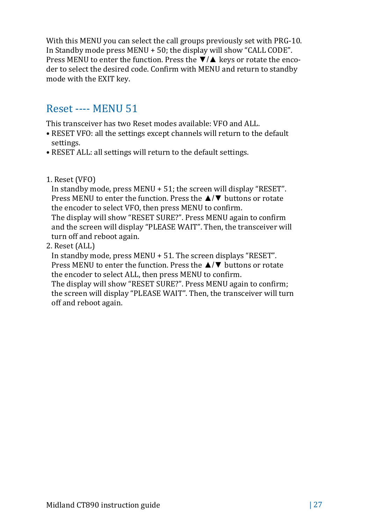With this MENU you can select the call groups previously set with PRG-10. In Standby mode press  $MENU + 50$ ; the display will show "CALL CODE". Press MENU to enter the function. Press the  $\P/$ **A** keys or rotate the encoder to select the desired code. Confirm with MENU and return to standby mode with the EXIT key.

## Reset ---- MENU 51

This transceiver has two Reset modes available: VFO and ALL.

- RESET VFO: all the settings except channels will return to the default settings.
- RESET ALL: all settings will return to the default settings.
- 1. Reset (VFO)

In standby mode, press  $MENU + 51$ ; the screen will display "RESET". Press MENU to enter the function. Press the  $\triangle/\triangledown$  buttons or rotate the encoder to select VFO, then press MENU to confirm. The display will show "RESET SURE?". Press MENU again to confirm

and the screen will display "PLEASE WAIT". Then, the transceiver will turn off and reboot again.

2. Reset (ALL)

In standby mode, press  $MENU + 51$ . The screen displays "RESET". Press MENU to enter the function. Press the  $\triangle$ /▼ buttons or rotate the encoder to select ALL, then press MENU to confirm.

The display will show "RESET SURE?". Press MENU again to confirm; the screen will display "PLEASE WAIT". Then, the transceiver will turn off and reboot again.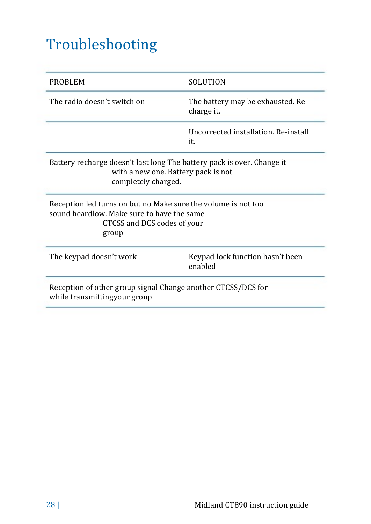# Troubleshooting

| <b>PROBLEM</b>                                                                                                                                      | <b>SOLUTION</b>                                                                                               |
|-----------------------------------------------------------------------------------------------------------------------------------------------------|---------------------------------------------------------------------------------------------------------------|
| The radio doesn't switch on                                                                                                                         | The battery may be exhausted. Re-<br>charge it.                                                               |
|                                                                                                                                                     | Uncorrected installation. Re-install<br>it.                                                                   |
| completely charged.                                                                                                                                 | Battery recharge doesn't last long The battery pack is over. Change it<br>with a new one. Battery pack is not |
| Reception led turns on but no Make sure the volume is not too<br>sound heardlow. Make sure to have the same<br>CTCSS and DCS codes of your<br>group |                                                                                                               |
| The keypad doesn't work                                                                                                                             | Keypad lock function hasn't been<br>enabled                                                                   |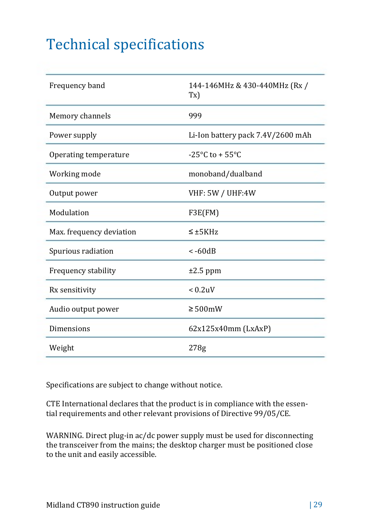# Technical specifications

| Frequency band           | 144-146MHz & 430-440MHz (Rx /<br>Tx)                  |
|--------------------------|-------------------------------------------------------|
| Memory channels          | 999                                                   |
| Power supply             | Li-Ion battery pack 7.4V/2600 mAh                     |
| Operating temperature    | -25 $\mathrm{^{\circ}C}$ to + 55 $\mathrm{^{\circ}C}$ |
| Working mode             | monoband/dualband                                     |
| Output power             | VHF: 5W / UHF:4W                                      |
| Modulation               | F3E(FM)                                               |
| Max. frequency deviation | $\leq \pm 5$ KHz                                      |
| Spurious radiation       | $\leq -60dB$                                          |
| Frequency stability      | $\pm 2.5$ ppm                                         |
| Rx sensitivity           | $< 0.2$ uV                                            |
| Audio output power       | $\geq 500$ mW                                         |
| Dimensions               | 62x125x40mm (LxAxP)                                   |
| Weight                   | 278g                                                  |

Specifications are subject to change without notice.

CTE International declares that the product is in compliance with the essential requirements and other relevant provisions of Directive 99/05/CE.

WARNING. Direct plug-in ac/dc power supply must be used for disconnecting the transceiver from the mains; the desktop charger must be positioned close to the unit and easily accessible.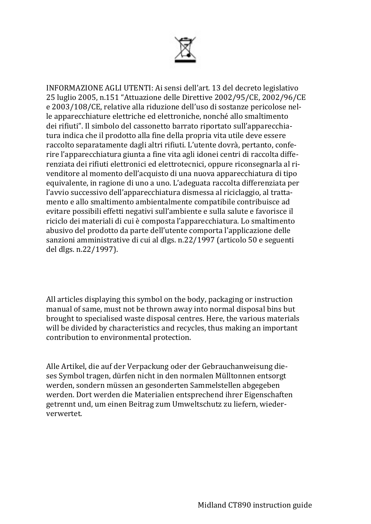

INFORMAZIONE AGLI UTENTI: Ai sensi dell'art. 13 del decreto legislativo 25 luglio 2005, n.151 "Attuazione delle Direttive 2002/95/CE, 2002/96/CE e 2003/108/CE, relative alla riduzione dell'uso di sostanze pericolose nelle apparecchiature elettriche ed elettroniche, nonché allo smaltimento dei rifiuti". Il simbolo del cassonetto barrato riportato sull'apparecchiatura indica che il prodotto alla fine della propria vita utile deve essere raccolto separatamente dagli altri rifiuti. L'utente dovrà, pertanto, conferire l'apparecchiatura giunta a fine vita agli idonei centri di raccolta differenziata dei rifiuti elettronici ed elettrotecnici, oppure riconsegnarla al rivenditore al momento dell'acquisto di una nuova apparecchiatura di tipo equivalente, in ragione di uno a uno. L'adeguata raccolta differenziata per l'avvio successivo dell'apparecchiatura dismessa al riciclaggio, al trattamento e allo smaltimento ambientalmente compatibile contribuisce ad evitare possibili effetti negativi sull'ambiente e sulla salute e favorisce il riciclo dei materiali di cui è composta l'apparecchiatura. Lo smaltimento abusivo del prodotto da parte dell'utente comporta l'applicazione delle sanzioni amministrative di cui al dlgs. n.22/1997 (articolo 50 e seguenti del dlgs. n.22/1997).

All articles displaying this symbol on the body, packaging or instruction manual of same, must not be thrown away into normal disposal bins but brought to specialised waste disposal centres. Here, the various materials will be divided by characteristics and recycles, thus making an important contribution to environmental protection.

Alle Artikel, die auf der Verpackung oder der Gebrauchanweisung dieses Symbol tragen, dürfen nicht in den normalen Mülltonnen entsorgt werden, sondern müssen an gesonderten Sammelstellen abgegeben werden. Dort werden die Materialien entsprechend ihrer Eigenschaften getrennt und, um einen Beitrag zum Umweltschutz zu liefern, wiederverwertet.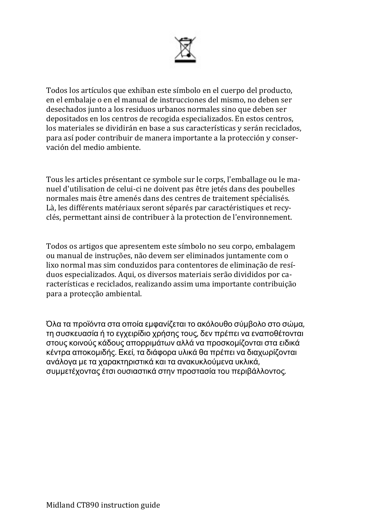

Todos los artículos que exhiban este símbolo en el cuerpo del producto, en el embalaje o en el manual de instrucciones del mismo, no deben ser desechados junto a los residuos urbanos normales sino que deben ser depositados en los centros de recogida especializados. En estos centros, los materiales se dividirán en base a sus características y serán reciclados, para así poder contribuir de manera importante a la protección y conservación del medio ambiente.

Tous les articles présentant ce symbole sur le corps, l'emballage ou le manuel d'utilisation de celui-ci ne doivent pas être jetés dans des poubelles normales mais être amenés dans des centres de traitement spécialisés. Là, les différents matériaux seront séparés par caractéristiques et recyclés, permettant ainsi de contribuer à la protection de l'environnement.

Todos os artigos que apresentem este símbolo no seu corpo, embalagem ou manual de instruções, não devem ser eliminados juntamente com o lixo normal mas sim conduzidos para contentores de eliminação de resíduos especializados. Aqui, os diversos materiais serão divididos por características e reciclados, realizando assim uma importante contribuição para a protecção ambiental.

Όλα τα προϊόντα στα οποία εµφανίζεται το ακόλουθο σύµβολο στο σώµα, τη συσκευασία ή το εγχειρίδιο χρήσης τους, δεν πρέπει να εναποθέτονται στους κοινούς κάδους απορριµάτων αλλά να προσκοµίζονται στα ειδικά κέντρα αποκοµιδής. Εκεί, τα διάφορα υλικά θα πρέπει να διαχωρίζονται ανάλογα µε τα χαρακτηριστικά και τα ανακυκλούµενα υκλικά, συµµετέχοντας έτσι ουσιαστικά στην προστασία του περιβάλλοντος.